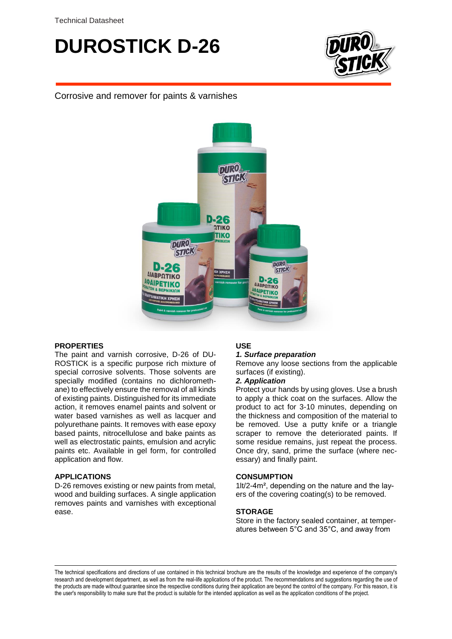## **DUROSTICK D-26**



Corrosive and remover for paints & varnishes



## **PROPERTIES**

The paint and varnish corrosive, D-26 of DU-ROSTICK is a specific purpose rich mixture of special corrosive solvents. Those solvents are specially modified (contains no dichloromethane) to effectively ensure the removal of all kinds of existing paints. Distinguished for its immediate action, it removes enamel paints and solvent or water based varnishes as well as lacquer and polyurethane paints. It removes with ease epoxy based paints, nitrocellulose and bake paints as well as electrostatic paints, emulsion and acrylic paints etc. Available in gel form, for controlled application and flow.

## **APPLICATIONS**

D-26 removes existing or new paints from metal, wood and building surfaces. A single application removes paints and varnishes with exceptional ease.

## **USE**

## *1. Surface preparation*

Remove any loose sections from the applicable surfaces (if existing).

## *2. Application*

Protect your hands by using gloves. Use a brush to apply a thick coat on the surfaces. Allow the product to act for 3-10 minutes, depending on the thickness and composition of the material to be removed. Use a putty knife or a triangle scraper to remove the deteriorated paints. If some residue remains, just repeat the process. Once dry, sand, prime the surface (where necessary) and finally paint.

#### **CONSUMPTION**

1lt/2-4m², depending on the nature and the layers of the covering coating(s) to be removed.

#### **STORAGE**

Store in the factory sealed container, at temperatures between 5°C and 35°C, and away from

The technical specifications and directions of use contained in this technical brochure are the results of the knowledge and experience of the company's research and development department, as well as from the real-life applications of the product. The recommendations and suggestions regarding the use of the products are made without guarantee since the respective conditions during their application are beyond the control of the company. For this reason, it is the user's responsibility to make sure that the product is suitable for the intended application as well as the application conditions of the project.